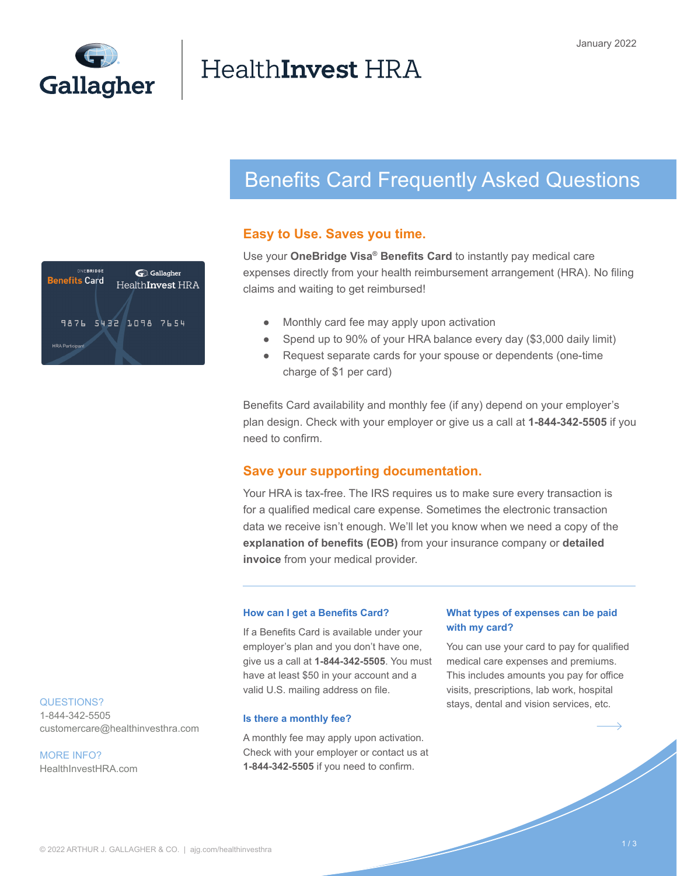

# HealthInvest HRA

# Benefits Card Frequently Asked Questions

# **Easy to Use. Saves you time.**

ONFBRIDGE Gallagher **Benefits Card** HealthInvest HRA 9876 5432 1098 7654 **HRA Participant** 

Use your **OneBridge Visa® Benefits Card** to instantly pay medical care expenses directly from your health reimbursement arrangement (HRA). No filing claims and waiting to get reimbursed!

- Monthly card fee may apply upon activation
- Spend up to 90% of your HRA balance every day (\$3,000 daily limit)
- Request separate cards for your spouse or dependents (one-time charge of \$1 per card)

Benefits Card availability and monthly fee (if any) depend on your employer's plan design. Check with your employer or give us a call at **1-844-342-5505** if you need to confirm.

# **Save your supporting documentation.**

Your HRA is tax-free. The IRS requires us to make sure every transaction is for a qualified medical care expense. Sometimes the electronic transaction data we receive isn't enough. We'll let you know when we need a copy of the **explanation of benefits (EOB)** from your insurance company or **detailed invoice** from your medical provider.

#### **How can I get a Benefits Card?**

If a Benefits Card is available under your employer's plan and you don't have one, give us a call at **1-844-342-5505**. You must have at least \$50 in your account and a valid U.S. mailing address on file.

#### **Is there a monthly fee?**

A monthly fee may apply upon activation. Check with your employer or contact us at **1-844-342-5505** if you need to confirm.

### **What types of expenses can be paid with my card?**

You can use your card to pay for qualified medical care expenses and premiums. This includes amounts you pay for office visits, prescriptions, lab work, hospital stays, dental and vision services, etc.

#### QUESTIONS?

1-844-342-5505 customercare@healthinvesthra.com

MORE INFO? HealthInvestHRA.com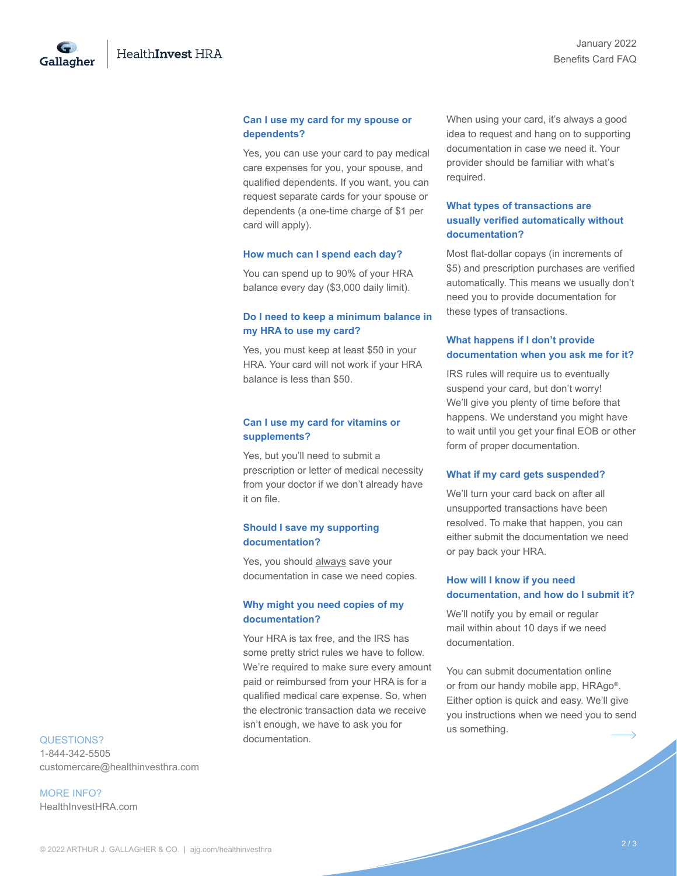Gallagher

#### **Can I use my card for my spouse or dependents?**

Yes, you can use your card to pay medical care expenses for you, your spouse, and qualified dependents. If you want, you can request separate cards for your spouse or dependents (a one-time charge of \$1 per card will apply).

#### **How much can I spend each day?**

You can spend up to 90% of your HRA balance every day (\$3,000 daily limit).

#### **Do I need to keep a minimum balance in my HRA to use my card?**

Yes, you must keep at least \$50 in your HRA. Your card will not work if your HRA balance is less than \$50.

#### **Can I use my card for vitamins or supplements?**

Yes, but you'll need to submit a prescription or letter of medical necessity from your doctor if we don't already have it on file.

#### **Should I save my supporting documentation?**

Yes, you should always save your documentation in case we need copies.

#### **Why might you need copies of my documentation?**

Your HRA is tax free, and the IRS has some pretty strict rules we have to follow. We're required to make sure every amount paid or reimbursed from your HRA is for a qualified medical care expense. So, when the electronic transaction data we receive isn't enough, we have to ask you for documentation.

When using your card, it's always a good idea to request and hang on to supporting documentation in case we need it. Your provider should be familiar with what's required.

# **What types of transactions are usually verified automatically without documentation?**

Most flat-dollar copays (in increments of \$5) and prescription purchases are verified automatically. This means we usually don't need you to provide documentation for these types of transactions.

# **What happens if I don't provide documentation when you ask me for it?**

IRS rules will require us to eventually suspend your card, but don't worry! We'll give you plenty of time before that happens. We understand you might have to wait until you get your final EOB or other form of proper documentation.

#### **What if my card gets suspended?**

We'll turn your card back on after all unsupported transactions have been resolved. To make that happen, you can either submit the documentation we need or pay back your HRA.

#### **How will I know if you need documentation, and how do I submit it?**

We'll notify you by email or regular mail within about 10 days if we need documentation.

You can submit documentation online or from our handy mobile app, HRAgo®. Either option is quick and easy. We'll give you instructions when we need you to send us something.

#### QUESTIONS?

1-844-342-5505 customercare@healthinvesthra.com

MORE INFO? HealthInvestHRA.com